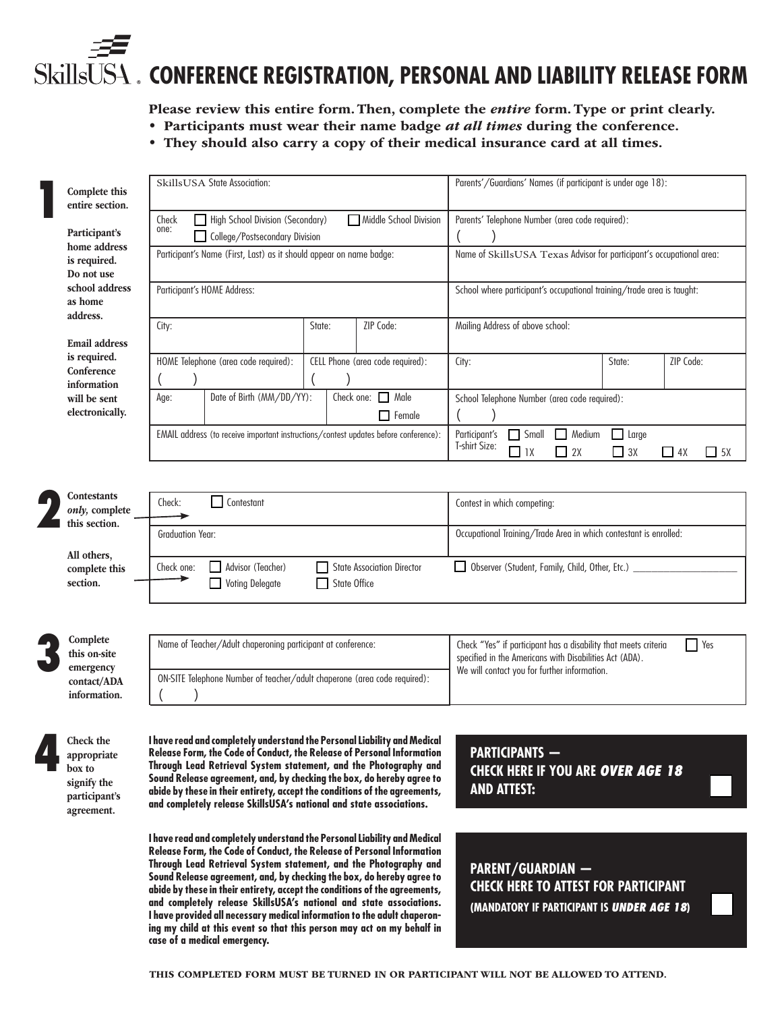# **CONFERENCE REGISTRATION, PERSONAL AND LIABILITY RELEASE FORM**

Please review this entire form. Then, complete the *entire* form. Type or print clearly.

- Participants must wear their name badge *at all times* during the conference.
	- They should also carry a copy of their medical insurance card at all times.

| Complete this<br>entire section.                                     | Skills USA State Association:                                                                                                                                                                                                                                                                                                                                            | Parents'/Guardians' Names (if participant is under age 18):                                                                                                                              |
|----------------------------------------------------------------------|--------------------------------------------------------------------------------------------------------------------------------------------------------------------------------------------------------------------------------------------------------------------------------------------------------------------------------------------------------------------------|------------------------------------------------------------------------------------------------------------------------------------------------------------------------------------------|
| Participant's<br>home address<br>is required.<br>Do not use          | High School Division (Secondary)<br>Middle School Division<br>Check<br>one:<br>College/Postsecondary Division                                                                                                                                                                                                                                                            | Parents' Telephone Number (area code required):                                                                                                                                          |
|                                                                      | Participant's Name (First, Last) as it should appear on name badge:                                                                                                                                                                                                                                                                                                      | Name of SkillsUSA Texas Advisor for participant's occupational area:                                                                                                                     |
| school address<br>as home<br>address.                                | Participant's HOME Address:                                                                                                                                                                                                                                                                                                                                              | School where participant's occupational training/trade area is taught:                                                                                                                   |
| <b>Email address</b>                                                 | ZIP Code:<br>State:<br>City:                                                                                                                                                                                                                                                                                                                                             | Mailing Address of above school:                                                                                                                                                         |
| is required.<br>Conference<br>information                            | HOME Telephone (area code required):<br>CELL Phone (area code required):                                                                                                                                                                                                                                                                                                 | State:<br>ZIP Code:<br>City:                                                                                                                                                             |
| will be sent<br>electronically.                                      | Check one: $\Box$ Male<br>Date of Birth (MM/DD/YY):<br>Age:<br>$\Box$ Female                                                                                                                                                                                                                                                                                             | School Telephone Number (area code required):                                                                                                                                            |
|                                                                      | EMAIL address (to receive important instructions/contest updates before conference):                                                                                                                                                                                                                                                                                     | $\Box$ Medium<br>Participant's<br>$\Box$ Small<br>$\Box$ Large<br>T-shirt Size:<br>$\Box$ 1X<br>$\Box$ 3X<br>$\Box$ 2X<br>$\Box$ 4X<br>$\Box$ 5X                                         |
| <b>Contestants</b>                                                   |                                                                                                                                                                                                                                                                                                                                                                          |                                                                                                                                                                                          |
| only, complete<br>this section.                                      | Check:<br>Contestant                                                                                                                                                                                                                                                                                                                                                     | Contest in which competing:                                                                                                                                                              |
| All others,                                                          | <b>Graduation Year:</b>                                                                                                                                                                                                                                                                                                                                                  | Occupational Training/Trade Area in which contestant is enrolled:                                                                                                                        |
| complete this<br>section.                                            | Advisor (Teacher)<br>Check one:<br><b>State Association Director</b><br><b>State Office</b><br><b>Voting Delegate</b>                                                                                                                                                                                                                                                    | Observer (Student, Family, Child, Other, Etc.) _                                                                                                                                         |
|                                                                      |                                                                                                                                                                                                                                                                                                                                                                          |                                                                                                                                                                                          |
| Complete<br>this on-site<br>emergency<br>contact/ADA<br>information. | Name of Teacher/Adult chaperoning participant at conference:                                                                                                                                                                                                                                                                                                             | Check "Yes" if participant has a disability that meets criteria<br>$\Box$ Yes<br>specified in the Americans with Disabilities Act (ADA).<br>We will contact you for further information. |
|                                                                      | ON-SITE Telephone Number of teacher/adult chaperone (area code required):                                                                                                                                                                                                                                                                                                |                                                                                                                                                                                          |
| Check the                                                            | I have read and completely understand the Personal Liability and Medical                                                                                                                                                                                                                                                                                                 |                                                                                                                                                                                          |
| appropriate<br>box to<br>signify the<br>participant's                | Release Form, the Code of Conduct, the Release of Personal Information<br>Through Lead Retrieval System statement, and the Photography and<br>Sound Release agreement, and, by checking the box, do hereby agree to<br>abide by these in their entirety, accept the conditions of the agreements,<br>and completely release SkillsUSA's national and state associations. | <b>PARTICIPANTS -</b><br><b>CHECK HERE IF YOU ARE OVER AGE 18</b><br><b>AND ATTEST:</b>                                                                                                  |

**I have read and completely understand the Personal Liability and Medical Release Form, the Code of Conduct, the Release of Personal Information Through Lead Retrieval System statement, and the Photography and Sound Release agreement, and, by checking the box, do hereby agree to abide by these in their entirety, accept the conditions of the agreements, and completely release SkillsUSA's national and state associations. I have provided all necessary medical information to the adult chaperoning my child at this event so that this person may act on my behalf in case of a medical emergency.**

agreement.

**PARENT/GUARDIAN — CHECK HERE TO ATTEST FOR PARTICIPANT (MANDATORY IF PARTICIPANT IS UNDER AGE 18)**